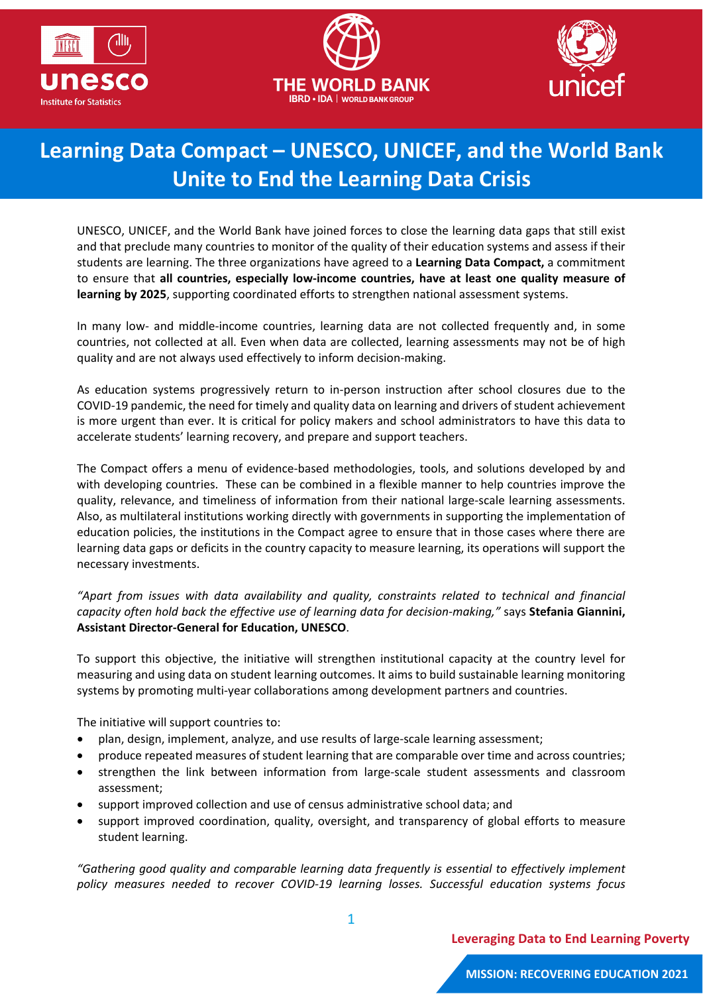





## **Learning Data Compact – UNESCO, UNICEF, and the World Bank Unite to End the Learning Data Crisis**

UNESCO, UNICEF, and the World Bank have joined forces to close the learning data gaps that still exist and that preclude many countries to monitor of the quality of their education systems and assess if their students are learning. The three organizations have agreed to a **Learning Data Compact,** a commitment to ensure that **all countries, especially low-income countries, have at least one quality measure of learning by 2025**, supporting coordinated efforts to strengthen national assessment systems.

In many low- and middle-income countries, learning data are not collected frequently and, in some countries, not collected at all. Even when data are collected, learning assessments may not be of high quality and are not always used effectively to inform decision-making.

As education systems progressively return to in-person instruction after school closures due to the COVID-19 pandemic, the need for timely and quality data on learning and drivers of student achievement is more urgent than ever. It is critical for policy makers and school administrators to have this data to accelerate students' learning recovery, and prepare and support teachers.

The Compact offers a menu of evidence-based methodologies, tools, and solutions developed by and with developing countries. These can be combined in a flexible manner to help countries improve the quality, relevance, and timeliness of information from their national large-scale learning assessments. Also, as multilateral institutions working directly with governments in supporting the implementation of education policies, the institutions in the Compact agree to ensure that in those cases where there are learning data gaps or deficits in the country capacity to measure learning, its operations will support the necessary investments.

*"Apart from issues with data availability and quality, constraints related to technical and financial capacity often hold back the effective use of learning data for decision-making,"* says **Stefania Giannini, Assistant Director-General for Education, UNESCO**.

To support this objective, the initiative will strengthen institutional capacity at the country level for measuring and using data on student learning outcomes. It aims to build sustainable learning monitoring systems by promoting multi-year collaborations among development partners and countries.

The initiative will support countries to:

- plan, design, implement, analyze, and use results of large-scale learning assessment;
- produce repeated measures of student learning that are comparable over time and across countries;
- strengthen the link between information from large-scale student assessments and classroom assessment;
- support improved collection and use of census administrative school data; and
- support improved coordination, quality, oversight, and transparency of global efforts to measure student learning.

*"Gathering good quality and comparable learning data frequently is essential to effectively implement policy measures needed to recover COVID-19 learning losses. Successful education systems focus*

1

**Leveraging Data to End Learning Poverty**